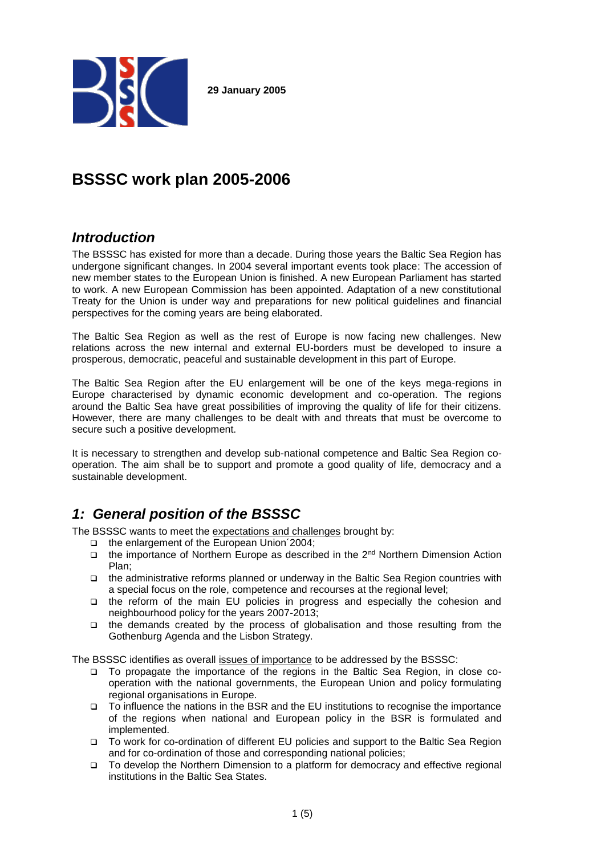

**29 January 2005**

# **BSSSC work plan 2005-2006**

## *Introduction*

The BSSSC has existed for more than a decade. During those years the Baltic Sea Region has undergone significant changes. In 2004 several important events took place: The accession of new member states to the European Union is finished. A new European Parliament has started to work. A new European Commission has been appointed. Adaptation of a new constitutional Treaty for the Union is under way and preparations for new political guidelines and financial perspectives for the coming years are being elaborated.

The Baltic Sea Region as well as the rest of Europe is now facing new challenges. New relations across the new internal and external EU-borders must be developed to insure a prosperous, democratic, peaceful and sustainable development in this part of Europe.

The Baltic Sea Region after the EU enlargement will be one of the keys mega-regions in Europe characterised by dynamic economic development and co-operation. The regions around the Baltic Sea have great possibilities of improving the quality of life for their citizens. However, there are many challenges to be dealt with and threats that must be overcome to secure such a positive development.

It is necessary to strengthen and develop sub-national competence and Baltic Sea Region cooperation. The aim shall be to support and promote a good quality of life, democracy and a sustainable development.

## *1: General position of the BSSSC*

The BSSSC wants to meet the expectations and challenges brought by:

- □ the enlargement of the European Union 2004;
- □ the importance of Northern Europe as described in the 2<sup>nd</sup> Northern Dimension Action Plan;
- the administrative reforms planned or underway in the Baltic Sea Region countries with a special focus on the role, competence and recourses at the regional level;
- the reform of the main EU policies in progress and especially the cohesion and neighbourhood policy for the years 2007-2013;
- $\Box$  the demands created by the process of globalisation and those resulting from the Gothenburg Agenda and the Lisbon Strategy.

The BSSSC identifies as overall issues of importance to be addressed by the BSSSC:

- □ To propagate the importance of the regions in the Baltic Sea Region, in close cooperation with the national governments, the European Union and policy formulating regional organisations in Europe.
- To influence the nations in the BSR and the EU institutions to recognise the importance of the regions when national and European policy in the BSR is formulated and implemented.
- To work for co-ordination of different EU policies and support to the Baltic Sea Region and for co-ordination of those and corresponding national policies;
- To develop the Northern Dimension to a platform for democracy and effective regional institutions in the Baltic Sea States.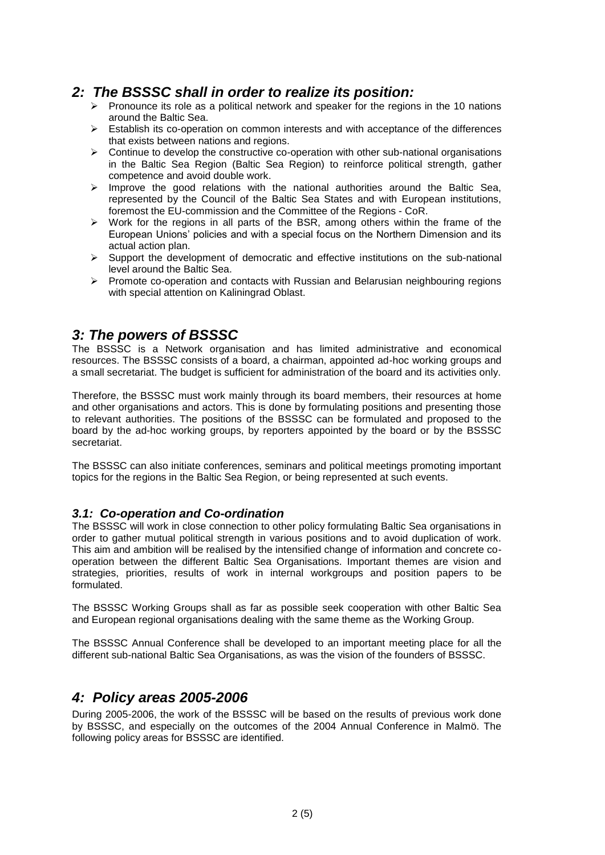## *2: The BSSSC shall in order to realize its position:*

- $\triangleright$  Pronounce its role as a political network and speaker for the regions in the 10 nations around the Baltic Sea.
- $\triangleright$  Establish its co-operation on common interests and with acceptance of the differences that exists between nations and regions.
- $\triangleright$  Continue to develop the constructive co-operation with other sub-national organisations in the Baltic Sea Region (Baltic Sea Region) to reinforce political strength, gather competence and avoid double work.
- $\triangleright$  Improve the good relations with the national authorities around the Baltic Sea, represented by the Council of the Baltic Sea States and with European institutions, foremost the EU-commission and the Committee of the Regions - CoR.
- $\triangleright$  Work for the regions in all parts of the BSR, among others within the frame of the European Unions' policies and with a special focus on the Northern Dimension and its actual action plan.
- $\triangleright$  Support the development of democratic and effective institutions on the sub-national level around the Baltic Sea.
- $\triangleright$  Promote co-operation and contacts with Russian and Belarusian neighbouring regions with special attention on Kaliningrad Oblast.

## *3: The powers of BSSSC*

The BSSSC is a Network organisation and has limited administrative and economical resources. The BSSSC consists of a board, a chairman, appointed ad-hoc working groups and a small secretariat. The budget is sufficient for administration of the board and its activities only.

Therefore, the BSSSC must work mainly through its board members, their resources at home and other organisations and actors. This is done by formulating positions and presenting those to relevant authorities. The positions of the BSSSC can be formulated and proposed to the board by the ad-hoc working groups, by reporters appointed by the board or by the BSSSC secretariat.

The BSSSC can also initiate conferences, seminars and political meetings promoting important topics for the regions in the Baltic Sea Region, or being represented at such events.

### *3.1: Co-operation and Co-ordination*

The BSSSC will work in close connection to other policy formulating Baltic Sea organisations in order to gather mutual political strength in various positions and to avoid duplication of work. This aim and ambition will be realised by the intensified change of information and concrete cooperation between the different Baltic Sea Organisations. Important themes are vision and strategies, priorities, results of work in internal workgroups and position papers to be formulated.

The BSSSC Working Groups shall as far as possible seek cooperation with other Baltic Sea and European regional organisations dealing with the same theme as the Working Group.

The BSSSC Annual Conference shall be developed to an important meeting place for all the different sub-national Baltic Sea Organisations, as was the vision of the founders of BSSSC.

### *4: Policy areas 2005-2006*

During 2005-2006, the work of the BSSSC will be based on the results of previous work done by BSSSC, and especially on the outcomes of the 2004 Annual Conference in Malmö. The following policy areas for BSSSC are identified.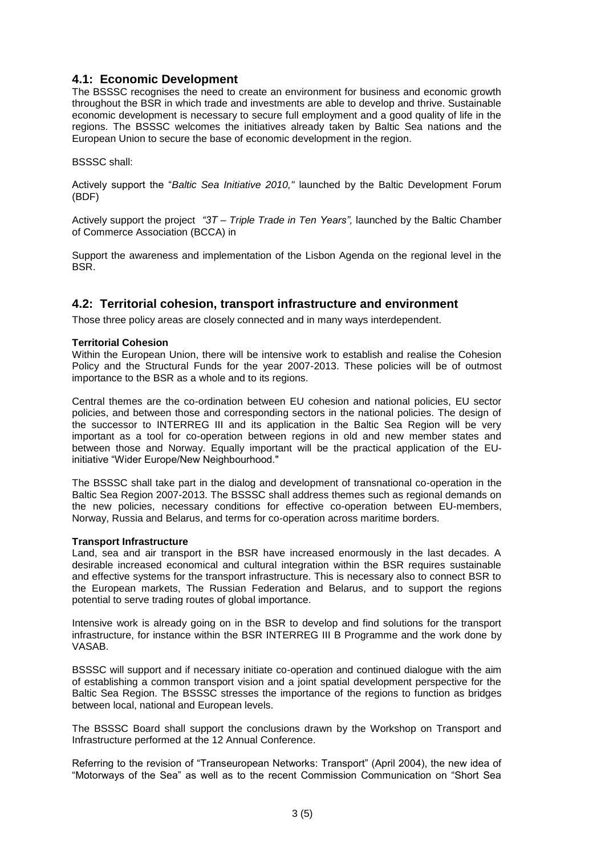### **4.1: Economic Development**

The BSSSC recognises the need to create an environment for business and economic growth throughout the BSR in which trade and investments are able to develop and thrive. Sustainable economic development is necessary to secure full employment and a good quality of life in the regions. The BSSSC welcomes the initiatives already taken by Baltic Sea nations and the European Union to secure the base of economic development in the region.

#### BSSSC shall:

Actively support the "*Baltic Sea Initiative 2010,"* launched by the Baltic Development Forum (BDF)

Actively support the project *"3T – Triple Trade in Ten Years",* launched by the Baltic Chamber of Commerce Association (BCCA) in

Support the awareness and implementation of the Lisbon Agenda on the regional level in the **BSR.** 

### **4.2: Territorial cohesion, transport infrastructure and environment**

Those three policy areas are closely connected and in many ways interdependent.

#### **Territorial Cohesion**

Within the European Union, there will be intensive work to establish and realise the Cohesion Policy and the Structural Funds for the year 2007-2013. These policies will be of outmost importance to the BSR as a whole and to its regions.

Central themes are the co-ordination between EU cohesion and national policies, EU sector policies, and between those and corresponding sectors in the national policies. The design of the successor to INTERREG III and its application in the Baltic Sea Region will be very important as a tool for co-operation between regions in old and new member states and between those and Norway. Equally important will be the practical application of the EUinitiative "Wider Europe/New Neighbourhood."

The BSSSC shall take part in the dialog and development of transnational co-operation in the Baltic Sea Region 2007-2013. The BSSSC shall address themes such as regional demands on the new policies, necessary conditions for effective co-operation between EU-members, Norway, Russia and Belarus, and terms for co-operation across maritime borders.

#### **Transport Infrastructure**

Land, sea and air transport in the BSR have increased enormously in the last decades. A desirable increased economical and cultural integration within the BSR requires sustainable and effective systems for the transport infrastructure. This is necessary also to connect BSR to the European markets, The Russian Federation and Belarus, and to support the regions potential to serve trading routes of global importance.

Intensive work is already going on in the BSR to develop and find solutions for the transport infrastructure, for instance within the BSR INTERREG III B Programme and the work done by VASAB.

BSSSC will support and if necessary initiate co-operation and continued dialogue with the aim of establishing a common transport vision and a joint spatial development perspective for the Baltic Sea Region. The BSSSC stresses the importance of the regions to function as bridges between local, national and European levels.

The BSSSC Board shall support the conclusions drawn by the Workshop on Transport and Infrastructure performed at the 12 Annual Conference.

Referring to the revision of "Transeuropean Networks: Transport" (April 2004), the new idea of "Motorways of the Sea" as well as to the recent Commission Communication on "Short Sea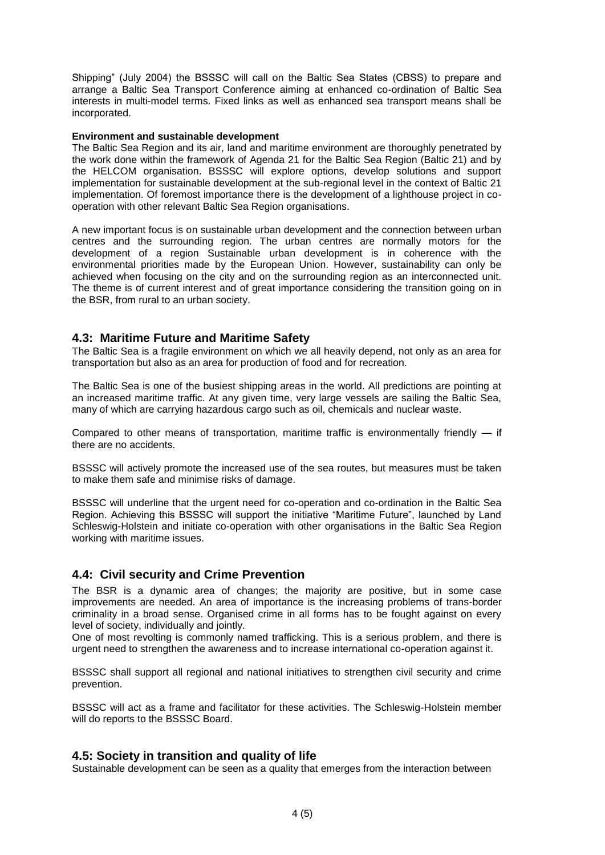Shipping" (July 2004) the BSSSC will call on the Baltic Sea States (CBSS) to prepare and arrange a Baltic Sea Transport Conference aiming at enhanced co-ordination of Baltic Sea interests in multi-model terms. Fixed links as well as enhanced sea transport means shall be incorporated.

#### **Environment and sustainable development**

The Baltic Sea Region and its air, land and maritime environment are thoroughly penetrated by the work done within the framework of Agenda 21 for the Baltic Sea Region (Baltic 21) and by the HELCOM organisation. BSSSC will explore options, develop solutions and support implementation for sustainable development at the sub-regional level in the context of Baltic 21 implementation. Of foremost importance there is the development of a lighthouse project in cooperation with other relevant Baltic Sea Region organisations.

A new important focus is on sustainable urban development and the connection between urban centres and the surrounding region. The urban centres are normally motors for the development of a region Sustainable urban development is in coherence with the environmental priorities made by the European Union. However, sustainability can only be achieved when focusing on the city and on the surrounding region as an interconnected unit. The theme is of current interest and of great importance considering the transition going on in the BSR, from rural to an urban society.

### **4.3: Maritime Future and Maritime Safety**

The Baltic Sea is a fragile environment on which we all heavily depend, not only as an area for transportation but also as an area for production of food and for recreation.

The Baltic Sea is one of the busiest shipping areas in the world. All predictions are pointing at an increased maritime traffic. At any given time, very large vessels are sailing the Baltic Sea, many of which are carrying hazardous cargo such as oil, chemicals and nuclear waste.

Compared to other means of transportation, maritime traffic is environmentally friendly — if there are no accidents.

BSSSC will actively promote the increased use of the sea routes, but measures must be taken to make them safe and minimise risks of damage.

BSSSC will underline that the urgent need for co-operation and co-ordination in the Baltic Sea Region. Achieving this BSSSC will support the initiative "Maritime Future", launched by Land Schleswig-Holstein and initiate co-operation with other organisations in the Baltic Sea Region working with maritime issues.

### **4.4: Civil security and Crime Prevention**

The BSR is a dynamic area of changes; the majority are positive, but in some case improvements are needed. An area of importance is the increasing problems of trans-border criminality in a broad sense. Organised crime in all forms has to be fought against on every level of society, individually and jointly.

One of most revolting is commonly named trafficking. This is a serious problem, and there is urgent need to strengthen the awareness and to increase international co-operation against it.

BSSSC shall support all regional and national initiatives to strengthen civil security and crime prevention.

BSSSC will act as a frame and facilitator for these activities. The Schleswig-Holstein member will do reports to the BSSSC Board.

### **4.5: Society in transition and quality of life**

Sustainable development can be seen as a quality that emerges from the interaction between